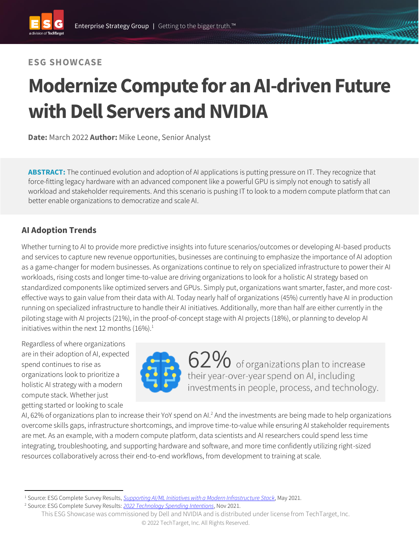#### **ESG SHOWCASE**

# **Modernize Compute for an AI-driven Future with Dell Servers and NVIDIA**

**Date:** March 2022 **Author:** Mike Leone, Senior Analyst

**ABSTRACT:** The continued evolution and adoption of AI applications is putting pressure on IT. They recognize that force-fitting legacy hardware with an advanced component like a powerful GPU is simply not enough to satisfy all workload and stakeholder requirements. And this scenario is pushing IT to look to a modern compute platform that can better enable organizations to democratize and scale AI.

### **AI Adoption Trends**

Whether turning to AI to provide more predictive insights into future scenarios/outcomes or developing AI-based products and services to capture new revenue opportunities, businesses are continuing to emphasize the importance of AI adoption as a game-changer for modern businesses. As organizations continue to rely on specialized infrastructure to power their AI workloads, rising costs and longer time-to-value are driving organizations to look for a holistic AI strategy based on standardized components like optimized servers and GPUs. Simply put, organizations want smarter, faster, and more costeffective ways to gain value from their data with AI. Today nearly half of organizations (45%) currently have AI in production running on specialized infrastructure to handle their AI initiatives. Additionally, more than half are either currently in the piloting stage with AI projects (21%), in the proof-of-concept stage with AI projects (18%), or planning to develop AI initiatives within the next 12 months  $(16\%)$ <sup>1</sup>

Regardless of where organizations are in their adoption of AI, expected spend continues to rise as organizations look to prioritize a holistic AI strategy with a modern compute stack. Whether just getting started or looking to scale



62% of organizations plan to increase<br>their year-over-year spend on AI, including investments in people, process, and technology.

AI, 62% of organizations plan to increase their YoY spend on AI.<sup>2</sup> And the investments are being made to help organizations overcome skills gaps, infrastructure shortcomings, and improve time-to-value while ensuring AI stakeholder requirements are met. As an example, with a modern compute platform, data scientists and AI researchers could spend less time integrating, troubleshooting, and supporting hardware and software, and more time confidently utilizing right-sized resources collaboratively across their end-to-end workflows, from development to training at scale.

<sup>1</sup> Source: ESG Complete Survey Results, *[Supporting AI/ML Initiatives with a Modern Infrastructure Stack](https://research.esg-global.com/reportaction/SupportingAIMLInitiativeswithModernInfrastructure/Toc)*, May 2021.

<sup>2</sup> Source: ESG Complete Survey Results: *[2022 Technology Spending Intentions](https://research.esg-global.com/reportaction/2022TechnologySpendingIntentionsSurveyCSR/Toc)*, Nov 2021.

This ESG Showcase was commissioned by Dell and NVIDIA and is distributed under license from TechTarget, Inc. © 2022 TechTarget, Inc. All Rights Reserved.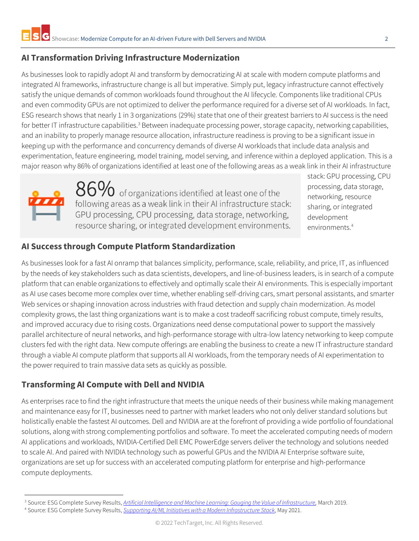## **AI Transformation Driving Infrastructure Modernization**

As businesses look to rapidly adopt AI and transform by democratizing AI at scale with modern compute platforms and integrated AI frameworks, infrastructure change is all but imperative. Simply put, legacy infrastructure cannot effectively satisfy the unique demands of common workloads found throughout the AI lifecycle. Components like traditional CPUs and even commodity GPUs are not optimized to deliver the performance required for a diverse set of AI workloads. In fact, ESG research shows that nearly 1 in 3 organizations (29%) state that one of their greatest barriers to AI success is the need for better IT infrastructure capabilities.<sup>3</sup> Between inadequate processing power, storage capacity, networking capabilities, and an inability to properly manage resource allocation, infrastructure readiness is proving to be a significant issue in keeping up with the performance and concurrency demands of diverse AI workloads that include data analysis and experimentation, feature engineering, model training, model serving, and inference within a deployed application. This is a major reason why 86% of organizations identified at least one of the following areas as a weak link in their AI infrastructure



 $86\%$  of organizations identified at least one of the following areas as a weak link in their AI infrastructure stack: GPU processing, CPU processing, data storage, networking, resource sharing, or integrated development environments.

stack: GPU processing, CPU processing, data storage, networking, resource sharing, or integrated development environments.<sup>4</sup>

### **AI Success through Compute Platform Standardization**

As businesses look for a fast AI onramp that balances simplicity, performance, scale, reliability, and price, IT, as influenced by the needs of key stakeholders such as data scientists, developers, and line-of-business leaders, is in search of a compute platform that can enable organizations to effectively and optimally scale their AI environments. This is especially important as AI use cases become more complex over time, whether enabling self-driving cars, smart personal assistants, and smarter Web services or shaping innovation across industries with fraud detection and supply chain modernization. As model complexity grows, the last thing organizations want is to make a cost tradeoff sacrificing robust compute, timely results, and improved accuracy due to rising costs. Organizations need dense computational power to support the massively parallel architecture of neural networks, and high-performance storage with ultra-low latency networking to keep compute clusters fed with the right data. New compute offerings are enabling the business to create a new IT infrastructure standard through a viable AI compute platform that supports all AI workloads, from the temporary needs of AI experimentation to the power required to train massive data sets as quickly as possible.

#### **Transforming AI Compute with Dell and NVIDIA**

As enterprises race to find the right infrastructure that meets the unique needs of their business while making management and maintenance easy for IT, businesses need to partner with market leaders who not only deliver standard solutions but holistically enable the fastest AI outcomes. Dell and NVIDIA are at the forefront of providing a wide portfolio of foundational solutions, along with strong complementing portfolios and software. To meet the accelerated computing needs of modern AI applications and workloads, NVIDIA-Certified Dell EMC PowerEdge servers deliver the technology and solutions needed to scale AI. And paired with NVIDIA technology such as powerful GPUs and the NVIDIA AI Enterprise software suite, organizations are set up for success with an accelerated computing platform for enterprise and high-performance compute deployments.

<sup>3</sup> Source: ESG Complete Survey Results, *[Artificial Intelligence and Machine Learning: Gauging the Value of Infrastructure,](https://research.esg-global.com/reportaction/aimlmsr/Toc)* March 2019.

<sup>4</sup> Source: ESG Complete Survey Results, *[Supporting AI/ML Initiatives with a Modern Infrastructure Stack](https://research.esg-global.com/reportaction/SupportingAIMLInitiativeswithModernInfrastructure/Toc)*, May 2021.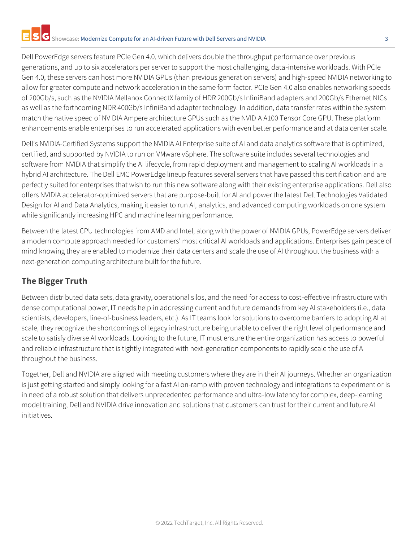Dell PowerEdge servers feature PCIe Gen 4.0, which delivers double the throughput performance over previous generations, and up to six accelerators per server to support the most challenging, data-intensive workloads. With PCIe Gen 4.0, these servers can host more NVIDIA GPUs (than previous generation servers) and high-speed NVIDIA networking to allow for greater compute and network acceleration in the same form factor. PCIe Gen 4.0 also enables networking speeds of 200Gb/s, such as the NVIDIA Mellanox ConnectX family of HDR 200Gb/s InfiniBand adapters and 200Gb/s Ethernet NICs as well as the forthcoming NDR 400Gb/s InfiniBand adapter technology. In addition, data transfer rates within the system match the native speed of NVIDIA Ampere architecture GPUs such as the NVIDIA A100 Tensor Core GPU. These platform enhancements enable enterprises to run accelerated applications with even better performance and at data center scale.

Dell's NVIDIA-Certified Systems support the NVIDIA AI Enterprise suite of AI and data analytics software that is optimized, certified, and supported by NVIDIA to run on VMware vSphere. The software suite includes several technologies and software from NVIDIA that simplify the AI lifecycle, from rapid deployment and management to scaling AI workloads in a hybrid AI architecture. The Dell EMC PowerEdge lineup features several servers that have passed this certification and are perfectly suited for enterprises that wish to run this new software along with their existing enterprise applications. Dell also offers NVIDIA accelerator-optimized servers that are purpose-built for AI and power the latest Dell Technologies Validated Design for AI and Data Analytics, making it easier to run AI, analytics, and advanced computing workloads on one system while significantly increasing HPC and machine learning performance.

Between the latest CPU technologies from AMD and Intel, along with the power of NVIDIA GPUs, PowerEdge servers deliver a modern compute approach needed for customers' most critical AI workloads and applications. Enterprises gain peace of mind knowing they are enabled to modernize their data centers and scale the use of AI throughout the business with a next-generation computing architecture built for the future.

# **The Bigger Truth**

Between distributed data sets, data gravity, operational silos, and the need for access to cost-effective infrastructure with dense computational power, IT needs help in addressing current and future demands from key AI stakeholders (i.e., data scientists, developers, line-of-business leaders, etc.). As IT teams look for solutions to overcome barriers to adopting AI at scale, they recognize the shortcomings of legacy infrastructure being unable to deliver the right level of performance and scale to satisfy diverse AI workloads. Looking to the future, IT must ensure the entire organization has access to powerful and reliable infrastructure that is tightly integrated with next-generation components to rapidly scale the use of AI throughout the business.

Together, Dell and NVIDIA are aligned with meeting customers where they are in their AI journeys. Whether an organization is just getting started and simply looking for a fast AI on-ramp with proven technology and integrations to experiment or is in need of a robust solution that delivers unprecedented performance and ultra-low latency for complex, deep-learning model training, Dell and NVIDIA drive innovation and solutions that customers can trust for their current and future AI initiatives.